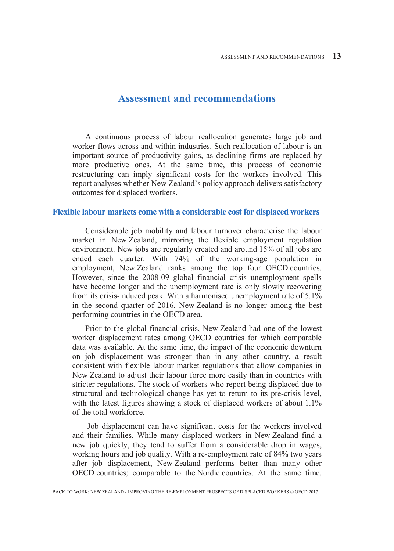# **Assessment and recommendations**

A continuous process of labour reallocation generates large job and worker flows across and within industries. Such reallocation of labour is an important source of productivity gains, as declining firms are replaced by more productive ones. At the same time, this process of economic restructuring can imply significant costs for the workers involved. This report analyses whether New Zealand's policy approach delivers satisfactory outcomes for displaced workers.

### **Flexible labour markets come with a considerable cost for displaced workers**

Considerable job mobility and labour turnover characterise the labour market in New Zealand, mirroring the flexible employment regulation environment. New jobs are regularly created and around 15% of all jobs are ended each quarter. With 74% of the working-age population in employment, New Zealand ranks among the top four OECD countries. However, since the 2008-09 global financial crisis unemployment spells have become longer and the unemployment rate is only slowly recovering from its crisis-induced peak. With a harmonised unemployment rate of 5.1% in the second quarter of 2016, New Zealand is no longer among the best performing countries in the OECD area.

Prior to the global financial crisis, New Zealand had one of the lowest worker displacement rates among OECD countries for which comparable data was available. At the same time, the impact of the economic downturn on job displacement was stronger than in any other country, a result consistent with flexible labour market regulations that allow companies in New Zealand to adjust their labour force more easily than in countries with stricter regulations. The stock of workers who report being displaced due to structural and technological change has yet to return to its pre-crisis level, with the latest figures showing a stock of displaced workers of about 1.1% of the total workforce.

 Job displacement can have significant costs for the workers involved and their families. While many displaced workers in New Zealand find a new job quickly, they tend to suffer from a considerable drop in wages, working hours and job quality. With a re-employment rate of 84% two years after job displacement, New Zealand performs better than many other OECD countries; comparable to the Nordic countries. At the same time,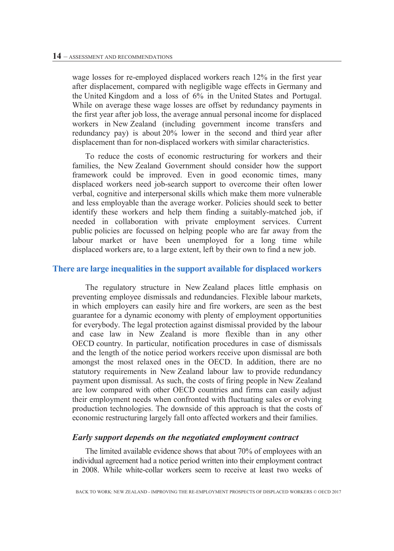wage losses for re-employed displaced workers reach 12% in the first year after displacement, compared with negligible wage effects in Germany and the United Kingdom and a loss of 6% in the United States and Portugal. While on average these wage losses are offset by redundancy payments in the first year after job loss, the average annual personal income for displaced workers in New Zealand (including government income transfers and redundancy pay) is about 20% lower in the second and third year after displacement than for non-displaced workers with similar characteristics.

To reduce the costs of economic restructuring for workers and their families, the New Zealand Government should consider how the support framework could be improved. Even in good economic times, many displaced workers need job-search support to overcome their often lower verbal, cognitive and interpersonal skills which make them more vulnerable and less employable than the average worker. Policies should seek to better identify these workers and help them finding a suitably-matched job, if needed in collaboration with private employment services. Current public policies are focussed on helping people who are far away from the labour market or have been unemployed for a long time while displaced workers are, to a large extent, left by their own to find a new job.

## **There are large inequalities in the support available for displaced workers**

The regulatory structure in New Zealand places little emphasis on preventing employee dismissals and redundancies. Flexible labour markets, in which employers can easily hire and fire workers, are seen as the best guarantee for a dynamic economy with plenty of employment opportunities for everybody. The legal protection against dismissal provided by the labour and case law in New Zealand is more flexible than in any other OECD country. In particular, notification procedures in case of dismissals and the length of the notice period workers receive upon dismissal are both amongst the most relaxed ones in the OECD. In addition, there are no statutory requirements in New Zealand labour law to provide redundancy payment upon dismissal. As such, the costs of firing people in New Zealand are low compared with other OECD countries and firms can easily adjust their employment needs when confronted with fluctuating sales or evolving production technologies. The downside of this approach is that the costs of economic restructuring largely fall onto affected workers and their families.

### *Early support depends on the negotiated employment contract*

The limited available evidence shows that about 70% of employees with an individual agreement had a notice period written into their employment contract in 2008. While white-collar workers seem to receive at least two weeks of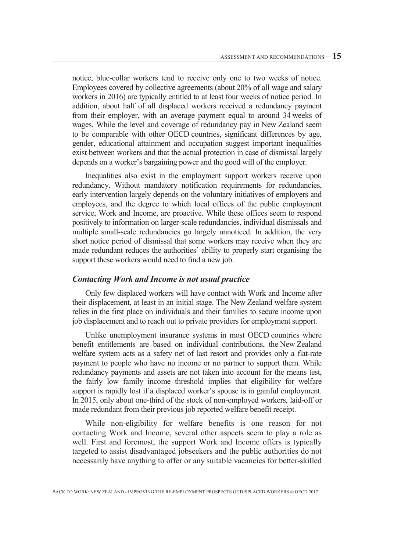notice, blue-collar workers tend to receive only one to two weeks of notice. Employees covered by collective agreements (about 20% of all wage and salary workers in 2016) are typically entitled to at least four weeks of notice period. In addition, about half of all displaced workers received a redundancy payment from their employer, with an average payment equal to around 34 weeks of wages. While the level and coverage of redundancy pay in New Zealand seem to be comparable with other OECD countries, significant differences by age, gender, educational attainment and occupation suggest important inequalities exist between workers and that the actual protection in case of dismissal largely depends on a worker's bargaining power and the good will of the employer.

Inequalities also exist in the employment support workers receive upon redundancy. Without mandatory notification requirements for redundancies, early intervention largely depends on the voluntary initiatives of employers and employees, and the degree to which local offices of the public employment service, Work and Income, are proactive. While these offices seem to respond positively to information on larger-scale redundancies, individual dismissals and multiple small-scale redundancies go largely unnoticed. In addition, the very short notice period of dismissal that some workers may receive when they are made redundant reduces the authorities' ability to properly start organising the support these workers would need to find a new job.

### *Contacting Work and Income is not usual practice*

Only few displaced workers will have contact with Work and Income after their displacement, at least in an initial stage. The New Zealand welfare system relies in the first place on individuals and their families to secure income upon job displacement and to reach out to private providers for employment support.

Unlike unemployment insurance systems in most OECD countries where benefit entitlements are based on individual contributions, the New Zealand welfare system acts as a safety net of last resort and provides only a flat-rate payment to people who have no income or no partner to support them. While redundancy payments and assets are not taken into account for the means test, the fairly low family income threshold implies that eligibility for welfare support is rapidly lost if a displaced worker's spouse is in gainful employment. In 2015, only about one-third of the stock of non-employed workers, laid-off or made redundant from their previous job reported welfare benefit receipt.

While non-eligibility for welfare benefits is one reason for not contacting Work and Income, several other aspects seem to play a role as well. First and foremost, the support Work and Income offers is typically targeted to assist disadvantaged jobseekers and the public authorities do not necessarily have anything to offer or any suitable vacancies for better-skilled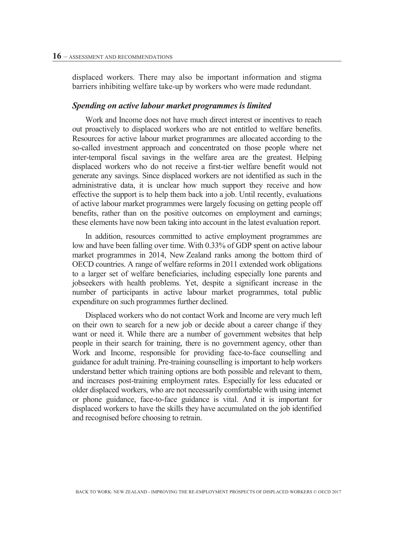displaced workers. There may also be important information and stigma barriers inhibiting welfare take-up by workers who were made redundant.

### *Spending on active labour market programmes is limited*

Work and Income does not have much direct interest or incentives to reach out proactively to displaced workers who are not entitled to welfare benefits. Resources for active labour market programmes are allocated according to the so-called investment approach and concentrated on those people where net inter-temporal fiscal savings in the welfare area are the greatest. Helping displaced workers who do not receive a first-tier welfare benefit would not generate any savings. Since displaced workers are not identified as such in the administrative data, it is unclear how much support they receive and how effective the support is to help them back into a job. Until recently, evaluations of active labour market programmes were largely focusing on getting people off benefits, rather than on the positive outcomes on employment and earnings; these elements have now been taking into account in the latest evaluation report.

In addition, resources committed to active employment programmes are low and have been falling over time. With 0.33% of GDP spent on active labour market programmes in 2014, New Zealand ranks among the bottom third of OECD countries. A range of welfare reforms in 2011 extended work obligations to a larger set of welfare beneficiaries, including especially lone parents and jobseekers with health problems. Yet, despite a significant increase in the number of participants in active labour market programmes, total public expenditure on such programmes further declined.

Displaced workers who do not contact Work and Income are very much left on their own to search for a new job or decide about a career change if they want or need it. While there are a number of government websites that help people in their search for training, there is no government agency, other than Work and Income, responsible for providing face-to-face counselling and guidance for adult training. Pre-training counselling is important to help workers understand better which training options are both possible and relevant to them, and increases post-training employment rates. Especially for less educated or older displaced workers, who are not necessarily comfortable with using internet or phone guidance, face-to-face guidance is vital. And it is important for displaced workers to have the skills they have accumulated on the job identified and recognised before choosing to retrain.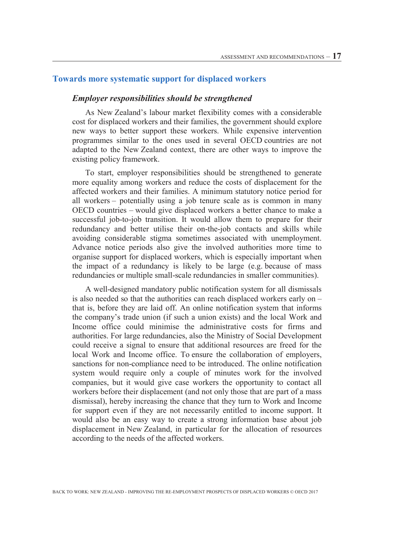## **Towards more systematic support for displaced workers**

### *Employer responsibilities should be strengthened*

As New Zealand's labour market flexibility comes with a considerable cost for displaced workers and their families, the government should explore new ways to better support these workers. While expensive intervention programmes similar to the ones used in several OECD countries are not adapted to the New Zealand context, there are other ways to improve the existing policy framework.

To start, employer responsibilities should be strengthened to generate more equality among workers and reduce the costs of displacement for the affected workers and their families. A minimum statutory notice period for all workers – potentially using a job tenure scale as is common in many OECD countries – would give displaced workers a better chance to make a successful job-to-job transition. It would allow them to prepare for their redundancy and better utilise their on-the-job contacts and skills while avoiding considerable stigma sometimes associated with unemployment. Advance notice periods also give the involved authorities more time to organise support for displaced workers, which is especially important when the impact of a redundancy is likely to be large (e.g. because of mass redundancies or multiple small-scale redundancies in smaller communities).

A well-designed mandatory public notification system for all dismissals is also needed so that the authorities can reach displaced workers early on – that is, before they are laid off. An online notification system that informs the company's trade union (if such a union exists) and the local Work and Income office could minimise the administrative costs for firms and authorities. For large redundancies, also the Ministry of Social Development could receive a signal to ensure that additional resources are freed for the local Work and Income office. To ensure the collaboration of employers, sanctions for non-compliance need to be introduced. The online notification system would require only a couple of minutes work for the involved companies, but it would give case workers the opportunity to contact all workers before their displacement (and not only those that are part of a mass dismissal), hereby increasing the chance that they turn to Work and Income for support even if they are not necessarily entitled to income support. It would also be an easy way to create a strong information base about job displacement in New Zealand, in particular for the allocation of resources according to the needs of the affected workers.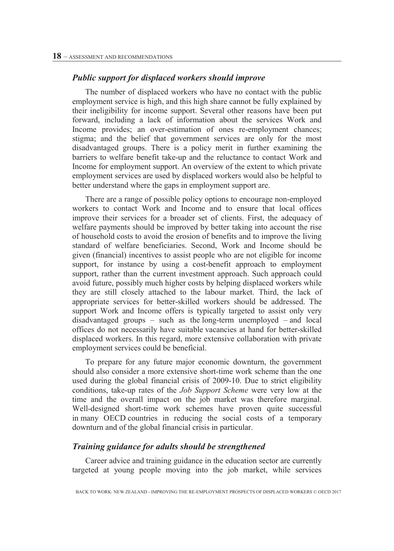## *Public support for displaced workers should improve*

The number of displaced workers who have no contact with the public employment service is high, and this high share cannot be fully explained by their ineligibility for income support. Several other reasons have been put forward, including a lack of information about the services Work and Income provides; an over-estimation of ones re-employment chances; stigma; and the belief that government services are only for the most disadvantaged groups. There is a policy merit in further examining the barriers to welfare benefit take-up and the reluctance to contact Work and Income for employment support. An overview of the extent to which private employment services are used by displaced workers would also be helpful to better understand where the gaps in employment support are.

There are a range of possible policy options to encourage non-employed workers to contact Work and Income and to ensure that local offices improve their services for a broader set of clients. First, the adequacy of welfare payments should be improved by better taking into account the rise of household costs to avoid the erosion of benefits and to improve the living standard of welfare beneficiaries. Second, Work and Income should be given (financial) incentives to assist people who are not eligible for income support, for instance by using a cost-benefit approach to employment support, rather than the current investment approach. Such approach could avoid future, possibly much higher costs by helping displaced workers while they are still closely attached to the labour market. Third, the lack of appropriate services for better-skilled workers should be addressed. The support Work and Income offers is typically targeted to assist only very disadvantaged groups – such as the long-term unemployed – and local offices do not necessarily have suitable vacancies at hand for better-skilled displaced workers. In this regard, more extensive collaboration with private employment services could be beneficial.

To prepare for any future major economic downturn, the government should also consider a more extensive short-time work scheme than the one used during the global financial crisis of 2009-10. Due to strict eligibility conditions, take-up rates of the *Job Support Scheme* were very low at the time and the overall impact on the job market was therefore marginal. Well-designed short-time work schemes have proven quite successful in many OECD countries in reducing the social costs of a temporary downturn and of the global financial crisis in particular.

## *Training guidance for adults should be strengthened*

Career advice and training guidance in the education sector are currently targeted at young people moving into the job market, while services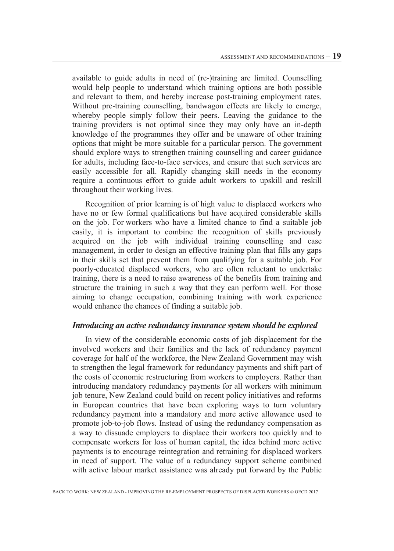available to guide adults in need of (re-)training are limited. Counselling would help people to understand which training options are both possible and relevant to them, and hereby increase post-training employment rates. Without pre-training counselling, bandwagon effects are likely to emerge, whereby people simply follow their peers. Leaving the guidance to the training providers is not optimal since they may only have an in-depth knowledge of the programmes they offer and be unaware of other training options that might be more suitable for a particular person. The government should explore ways to strengthen training counselling and career guidance for adults, including face-to-face services, and ensure that such services are easily accessible for all. Rapidly changing skill needs in the economy require a continuous effort to guide adult workers to upskill and reskill throughout their working lives.

Recognition of prior learning is of high value to displaced workers who have no or few formal qualifications but have acquired considerable skills on the job. For workers who have a limited chance to find a suitable job easily, it is important to combine the recognition of skills previously acquired on the job with individual training counselling and case management, in order to design an effective training plan that fills any gaps in their skills set that prevent them from qualifying for a suitable job. For poorly-educated displaced workers, who are often reluctant to undertake training, there is a need to raise awareness of the benefits from training and structure the training in such a way that they can perform well. For those aiming to change occupation, combining training with work experience would enhance the chances of finding a suitable job.

## *Introducing an active redundancy insurance system should be explored*

In view of the considerable economic costs of job displacement for the involved workers and their families and the lack of redundancy payment coverage for half of the workforce, the New Zealand Government may wish to strengthen the legal framework for redundancy payments and shift part of the costs of economic restructuring from workers to employers. Rather than introducing mandatory redundancy payments for all workers with minimum job tenure, New Zealand could build on recent policy initiatives and reforms in European countries that have been exploring ways to turn voluntary redundancy payment into a mandatory and more active allowance used to promote job-to-job flows. Instead of using the redundancy compensation as a way to dissuade employers to displace their workers too quickly and to compensate workers for loss of human capital, the idea behind more active payments is to encourage reintegration and retraining for displaced workers in need of support. The value of a redundancy support scheme combined with active labour market assistance was already put forward by the Public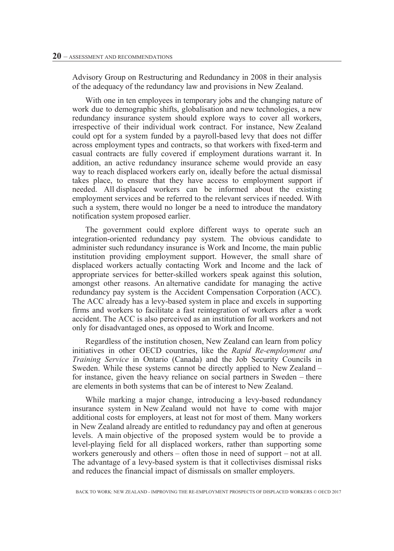Advisory Group on Restructuring and Redundancy in 2008 in their analysis of the adequacy of the redundancy law and provisions in New Zealand.

With one in ten employees in temporary jobs and the changing nature of work due to demographic shifts, globalisation and new technologies, a new redundancy insurance system should explore ways to cover all workers, irrespective of their individual work contract. For instance, New Zealand could opt for a system funded by a payroll-based levy that does not differ across employment types and contracts, so that workers with fixed-term and casual contracts are fully covered if employment durations warrant it. In addition, an active redundancy insurance scheme would provide an easy way to reach displaced workers early on, ideally before the actual dismissal takes place, to ensure that they have access to employment support if needed. All displaced workers can be informed about the existing employment services and be referred to the relevant services if needed. With such a system, there would no longer be a need to introduce the mandatory notification system proposed earlier.

The government could explore different ways to operate such an integration-oriented redundancy pay system. The obvious candidate to administer such redundancy insurance is Work and Income, the main public institution providing employment support. However, the small share of displaced workers actually contacting Work and Income and the lack of appropriate services for better-skilled workers speak against this solution, amongst other reasons. An alternative candidate for managing the active redundancy pay system is the Accident Compensation Corporation (ACC). The ACC already has a levy-based system in place and excels in supporting firms and workers to facilitate a fast reintegration of workers after a work accident. The ACC is also perceived as an institution for all workers and not only for disadvantaged ones, as opposed to Work and Income.

Regardless of the institution chosen, New Zealand can learn from policy initiatives in other OECD countries, like the *Rapid Re-employment and Training Service* in Ontario (Canada) and the Job Security Councils in Sweden. While these systems cannot be directly applied to New Zealand – for instance, given the heavy reliance on social partners in Sweden – there are elements in both systems that can be of interest to New Zealand.

While marking a major change, introducing a levy-based redundancy insurance system in New Zealand would not have to come with major additional costs for employers, at least not for most of them. Many workers in New Zealand already are entitled to redundancy pay and often at generous levels. A main objective of the proposed system would be to provide a level-playing field for all displaced workers, rather than supporting some workers generously and others – often those in need of support – not at all. The advantage of a levy-based system is that it collectivises dismissal risks and reduces the financial impact of dismissals on smaller employers.